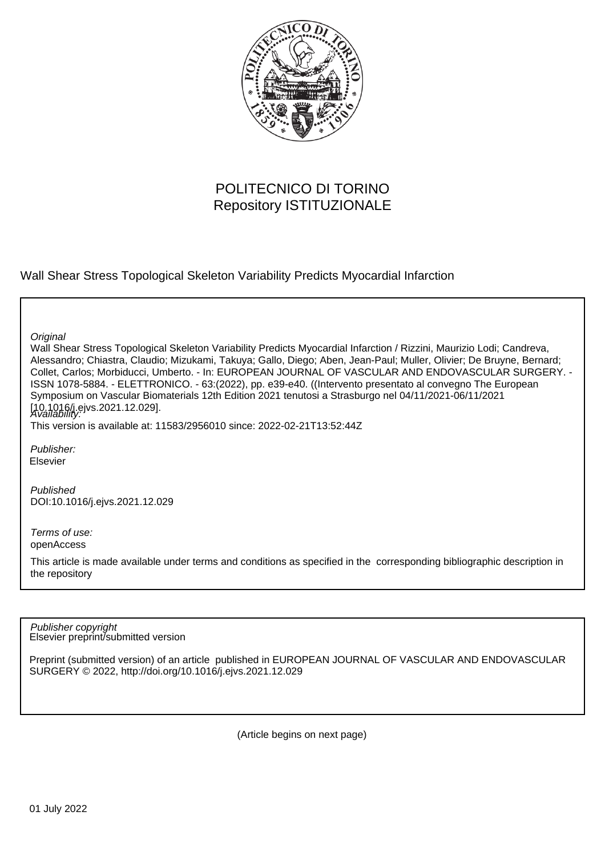

## POLITECNICO DI TORINO Repository ISTITUZIONALE

Wall Shear Stress Topological Skeleton Variability Predicts Myocardial Infarction

**Original** 

Wall Shear Stress Topological Skeleton Variability Predicts Myocardial Infarction / Rizzini, Maurizio Lodi; Candreva, Alessandro; Chiastra, Claudio; Mizukami, Takuya; Gallo, Diego; Aben, Jean-Paul; Muller, Olivier; De Bruyne, Bernard; Collet, Carlos; Morbiducci, Umberto. - In: EUROPEAN JOURNAL OF VASCULAR AND ENDOVASCULAR SURGERY. - ISSN 1078-5884. - ELETTRONICO. - 63:(2022), pp. e39-e40. ((Intervento presentato al convegno The European Symposium on Vascular Biomaterials 12th Edition 2021 tenutosi a Strasburgo nel 04/11/2021-06/11/2021 [10.1016/j.ejvs.2021.12.029].<br>A*vailability:* 

This version is available at: 11583/2956010 since: 2022-02-21T13:52:44Z

Publisher: Elsevier

Published DOI:10.1016/j.ejvs.2021.12.029

Terms of use: openAccess

This article is made available under terms and conditions as specified in the corresponding bibliographic description in the repository

Elsevier preprint/submitted version Publisher copyright

Preprint (submitted version) of an article published in EUROPEAN JOURNAL OF VASCULAR AND ENDOVASCULAR SURGERY © 2022, http://doi.org/10.1016/j.ejvs.2021.12.029

(Article begins on next page)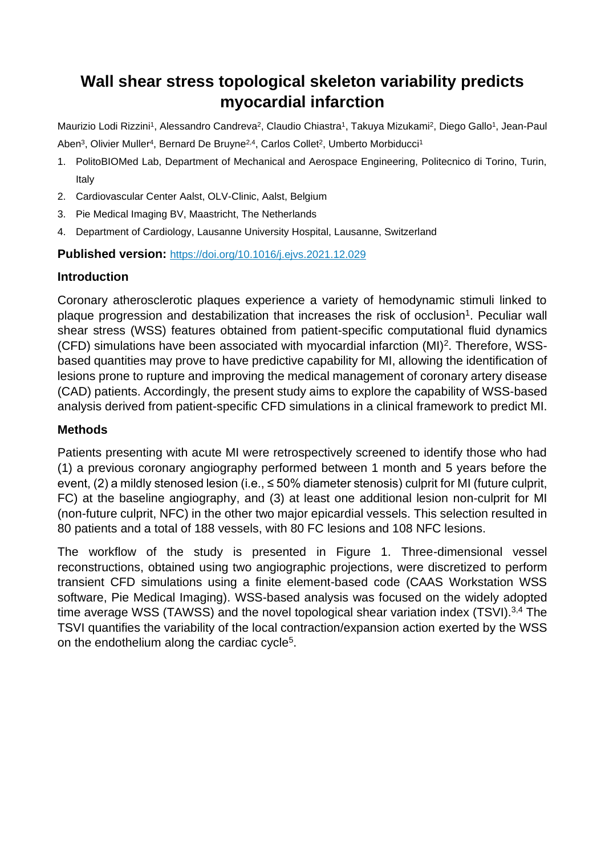# **Wall shear stress topological skeleton variability predicts myocardial infarction**

Maurizio Lodi Rizzini<sup>1</sup>, Alessandro Candreva<sup>2</sup>, Claudio Chiastra<sup>1</sup>, Takuya Mizukami<sup>2</sup>, Diego Gallo<sup>1</sup>, Jean-Paul Aben<sup>3</sup>, Olivier Muller<sup>4</sup>, Bernard De Bruyne<sup>2,4</sup>, Carlos Collet<sup>2</sup>, Umberto Morbiducci<sup>1</sup>

- 1. PolitoBIOMed Lab, Department of Mechanical and Aerospace Engineering, Politecnico di Torino, Turin, Italy
- 2. Cardiovascular Center Aalst, OLV-Clinic, Aalst, Belgium
- 3. Pie Medical Imaging BV, Maastricht, The Netherlands
- 4. Department of Cardiology, Lausanne University Hospital, Lausanne, Switzerland

**Published version:** <https://doi.org/10.1016/j.ejvs.2021.12.029>

### **Introduction**

Coronary atherosclerotic plaques experience a variety of hemodynamic stimuli linked to plaque progression and destabilization that increases the risk of occlusion<sup>1</sup>. Peculiar wall shear stress (WSS) features obtained from patient-specific computational fluid dynamics (CFD) simulations have been associated with myocardial infarction (MI)<sup>2</sup>. Therefore, WSSbased quantities may prove to have predictive capability for MI, allowing the identification of lesions prone to rupture and improving the medical management of coronary artery disease (CAD) patients. Accordingly, the present study aims to explore the capability of WSS-based analysis derived from patient-specific CFD simulations in a clinical framework to predict MI.

### **Methods**

Patients presenting with acute MI were retrospectively screened to identify those who had (1) a previous coronary angiography performed between 1 month and 5 years before the event, (2) a mildly stenosed lesion (i.e., ≤ 50% diameter stenosis) culprit for MI (future culprit, FC) at the baseline angiography, and (3) at least one additional lesion non-culprit for MI (non-future culprit, NFC) in the other two major epicardial vessels. This selection resulted in 80 patients and a total of 188 vessels, with 80 FC lesions and 108 NFC lesions.

The workflow of the study is presented in Figure 1. Three-dimensional vessel reconstructions, obtained using two angiographic projections, were discretized to perform transient CFD simulations using a finite element-based code (CAAS Workstation WSS software, Pie Medical Imaging). WSS-based analysis was focused on the widely adopted time average WSS (TAWSS) and the novel topological shear variation index (TSVI).<sup>3,4</sup> The TSVI quantifies the variability of the local contraction/expansion action exerted by the WSS on the endothelium along the cardiac cycle<sup>5</sup>.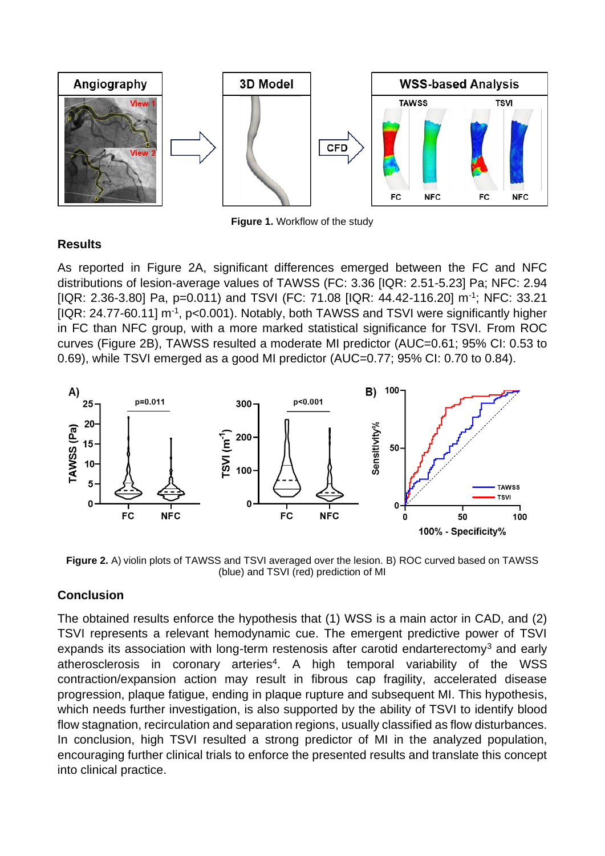

**Figure 1.** Workflow of the study

### **Results**

As reported in Figure 2A, significant differences emerged between the FC and NFC distributions of lesion-average values of TAWSS (FC: 3.36 [IQR: 2.51-5.23] Pa; NFC: 2.94 [IQR: 2.36-3.80] Pa, p=0.011) and TSVI (FC: 71.08 [IQR: 44.42-116.20] m<sup>-1</sup>; NFC: 33.21 [IQR: 24.77-60.11] m<sup>-1</sup>, p<0.001). Notably, both TAWSS and TSVI were significantly higher in FC than NFC group, with a more marked statistical significance for TSVI. From ROC curves (Figure 2B), TAWSS resulted a moderate MI predictor (AUC=0.61; 95% CI: 0.53 to 0.69), while TSVI emerged as a good MI predictor (AUC=0.77; 95% CI: 0.70 to 0.84).



**Figure 2.** A) violin plots of TAWSS and TSVI averaged over the lesion. B) ROC curved based on TAWSS (blue) and TSVI (red) prediction of MI

### **Conclusion**

The obtained results enforce the hypothesis that (1) WSS is a main actor in CAD, and (2) TSVI represents a relevant hemodynamic cue. The emergent predictive power of TSVI expands its association with long-term restenosis after carotid endarterectomy<sup>3</sup> and early atherosclerosis in coronary arteries<sup>4</sup>. A high temporal variability of the WSS contraction/expansion action may result in fibrous cap fragility, accelerated disease progression, plaque fatigue, ending in plaque rupture and subsequent MI. This hypothesis, which needs further investigation, is also supported by the ability of TSVI to identify blood flow stagnation, recirculation and separation regions, usually classified as flow disturbances. In conclusion, high TSVI resulted a strong predictor of MI in the analyzed population, encouraging further clinical trials to enforce the presented results and translate this concept into clinical practice.